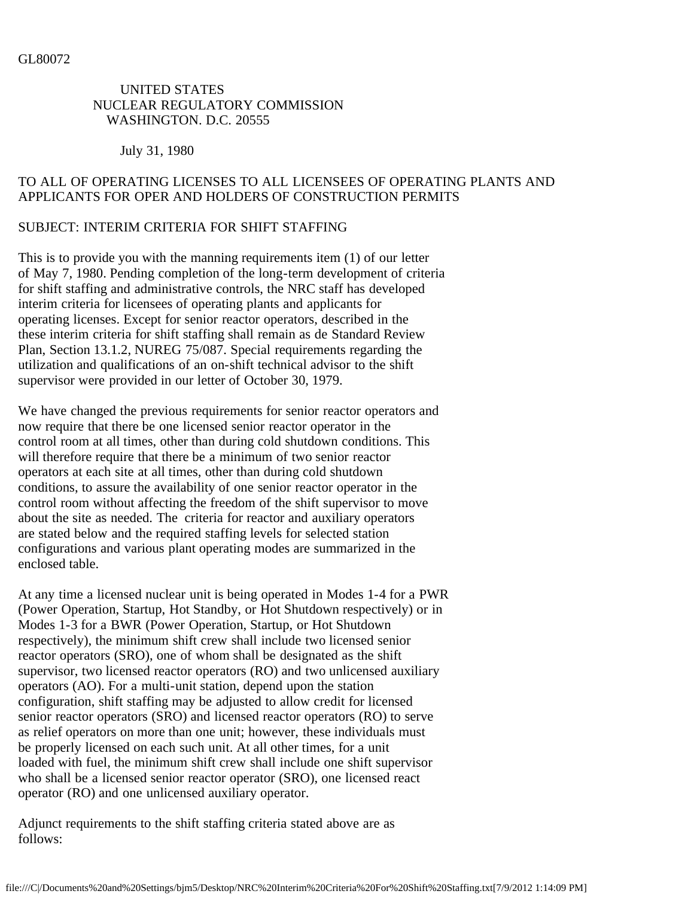#### UNITED STATES NUCLEAR REGULATORY COMMISSION WASHINGTON. D.C. 20555

July 31, 1980

## TO ALL OF OPERATING LICENSES TO ALL LICENSEES OF OPERATING PLANTS AND APPLICANTS FOR OPER AND HOLDERS OF CONSTRUCTION PERMITS

### SUBJECT: INTERIM CRITERIA FOR SHIFT STAFFING

This is to provide you with the manning requirements item (1) of our letter of May 7, 1980. Pending completion of the long-term development of criteria for shift staffing and administrative controls, the NRC staff has developed interim criteria for licensees of operating plants and applicants for operating licenses. Except for senior reactor operators, described in the these interim criteria for shift staffing shall remain as de Standard Review Plan, Section 13.1.2, NUREG 75/087. Special requirements regarding the utilization and qualifications of an on-shift technical advisor to the shift supervisor were provided in our letter of October 30, 1979.

We have changed the previous requirements for senior reactor operators and now require that there be one licensed senior reactor operator in the control room at all times, other than during cold shutdown conditions. This will therefore require that there be a minimum of two senior reactor operators at each site at all times, other than during cold shutdown conditions, to assure the availability of one senior reactor operator in the control room without affecting the freedom of the shift supervisor to move about the site as needed. The criteria for reactor and auxiliary operators are stated below and the required staffing levels for selected station configurations and various plant operating modes are summarized in the enclosed table.

At any time a licensed nuclear unit is being operated in Modes 1-4 for a PWR (Power Operation, Startup, Hot Standby, or Hot Shutdown respectively) or in Modes 1-3 for a BWR (Power Operation, Startup, or Hot Shutdown respectively), the minimum shift crew shall include two licensed senior reactor operators (SRO), one of whom shall be designated as the shift supervisor, two licensed reactor operators (RO) and two unlicensed auxiliary operators (AO). For a multi-unit station, depend upon the station configuration, shift staffing may be adjusted to allow credit for licensed senior reactor operators (SRO) and licensed reactor operators (RO) to serve as relief operators on more than one unit; however, these individuals must be properly licensed on each such unit. At all other times, for a unit loaded with fuel, the minimum shift crew shall include one shift supervisor who shall be a licensed senior reactor operator (SRO), one licensed react operator (RO) and one unlicensed auxiliary operator.

Adjunct requirements to the shift staffing criteria stated above are as follows: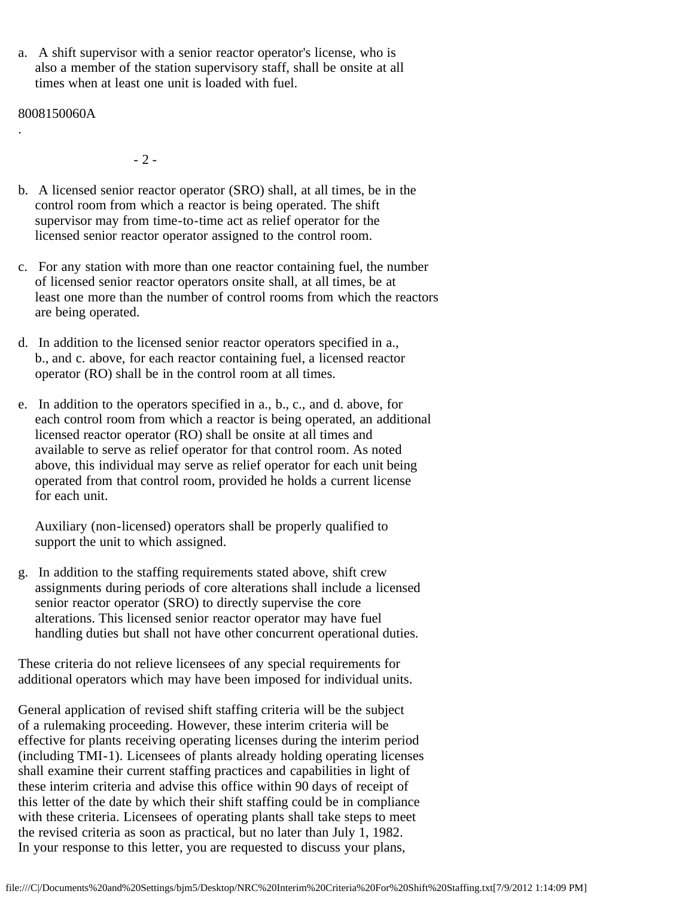a. A shift supervisor with a senior reactor operator's license, who is also a member of the station supervisory staff, shall be onsite at all times when at least one unit is loaded with fuel.

8008150060A

.

- 2 -

- b. A licensed senior reactor operator (SRO) shall, at all times, be in the control room from which a reactor is being operated. The shift supervisor may from time-to-time act as relief operator for the licensed senior reactor operator assigned to the control room.
- c. For any station with more than one reactor containing fuel, the number of licensed senior reactor operators onsite shall, at all times, be at least one more than the number of control rooms from which the reactors are being operated.
- d. In addition to the licensed senior reactor operators specified in a., b., and c. above, for each reactor containing fuel, a licensed reactor operator (RO) shall be in the control room at all times.
- e. In addition to the operators specified in a., b., c., and d. above, for each control room from which a reactor is being operated, an additional licensed reactor operator (RO) shall be onsite at all times and available to serve as relief operator for that control room. As noted above, this individual may serve as relief operator for each unit being operated from that control room, provided he holds a current license for each unit.

 Auxiliary (non-licensed) operators shall be properly qualified to support the unit to which assigned.

g. In addition to the staffing requirements stated above, shift crew assignments during periods of core alterations shall include a licensed senior reactor operator (SRO) to directly supervise the core alterations. This licensed senior reactor operator may have fuel handling duties but shall not have other concurrent operational duties.

These criteria do not relieve licensees of any special requirements for additional operators which may have been imposed for individual units.

General application of revised shift staffing criteria will be the subject of a rulemaking proceeding. However, these interim criteria will be effective for plants receiving operating licenses during the interim period (including TMI-1). Licensees of plants already holding operating licenses shall examine their current staffing practices and capabilities in light of these interim criteria and advise this office within 90 days of receipt of this letter of the date by which their shift staffing could be in compliance with these criteria. Licensees of operating plants shall take steps to meet the revised criteria as soon as practical, but no later than July 1, 1982. In your response to this letter, you are requested to discuss your plans,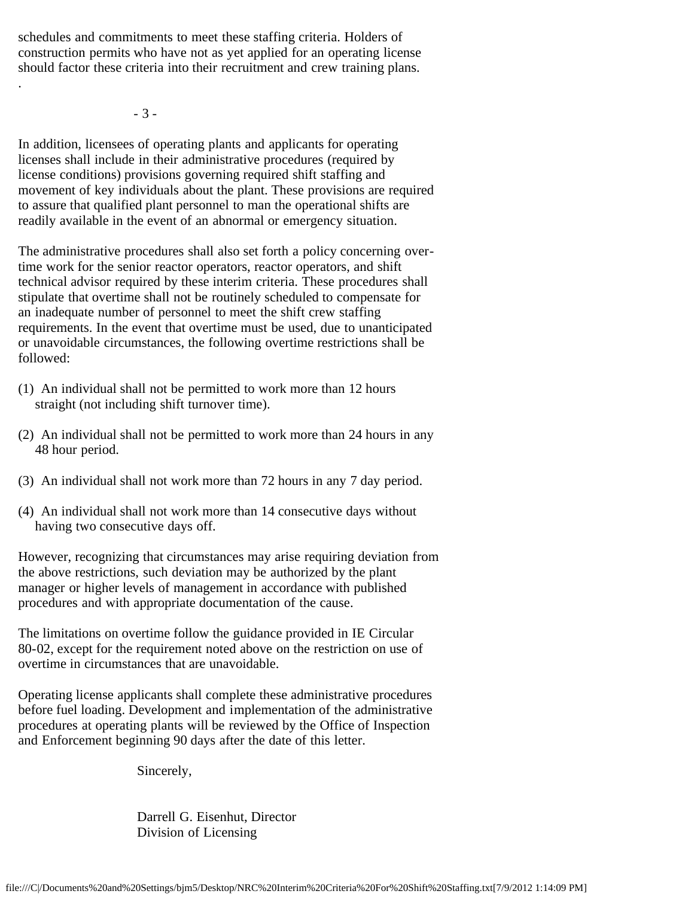schedules and commitments to meet these staffing criteria. Holders of construction permits who have not as yet applied for an operating license should factor these criteria into their recruitment and crew training plans.

- 3 -

.

In addition, licensees of operating plants and applicants for operating licenses shall include in their administrative procedures (required by license conditions) provisions governing required shift staffing and movement of key individuals about the plant. These provisions are required to assure that qualified plant personnel to man the operational shifts are readily available in the event of an abnormal or emergency situation.

The administrative procedures shall also set forth a policy concerning overtime work for the senior reactor operators, reactor operators, and shift technical advisor required by these interim criteria. These procedures shall stipulate that overtime shall not be routinely scheduled to compensate for an inadequate number of personnel to meet the shift crew staffing requirements. In the event that overtime must be used, due to unanticipated or unavoidable circumstances, the following overtime restrictions shall be followed:

- (1) An individual shall not be permitted to work more than 12 hours straight (not including shift turnover time).
- (2) An individual shall not be permitted to work more than 24 hours in any 48 hour period.
- (3) An individual shall not work more than 72 hours in any 7 day period.
- (4) An individual shall not work more than 14 consecutive days without having two consecutive days off.

However, recognizing that circumstances may arise requiring deviation from the above restrictions, such deviation may be authorized by the plant manager or higher levels of management in accordance with published procedures and with appropriate documentation of the cause.

The limitations on overtime follow the guidance provided in IE Circular 80-02, except for the requirement noted above on the restriction on use of overtime in circumstances that are unavoidable.

Operating license applicants shall complete these administrative procedures before fuel loading. Development and implementation of the administrative procedures at operating plants will be reviewed by the Office of Inspection and Enforcement beginning 90 days after the date of this letter.

Sincerely,

 Darrell G. Eisenhut, Director Division of Licensing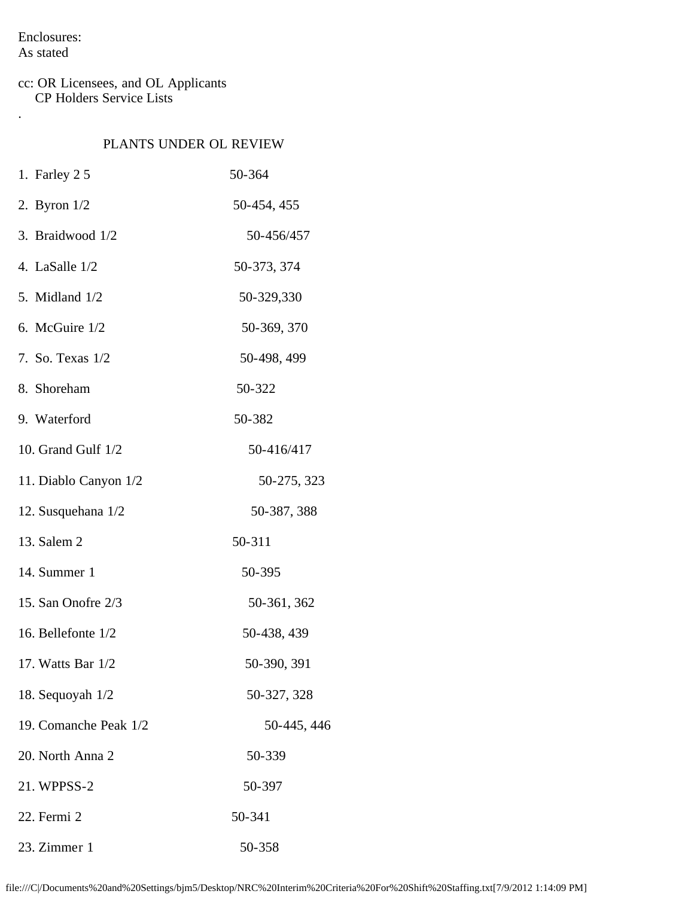Enclosures: As stated

.

### cc: OR Licensees, and OL Applicants CP Holders Service Lists

## PLANTS UNDER OL REVIEW

| 1. Farley $25$        | 50-364      |
|-----------------------|-------------|
| 2. Byron $1/2$        | 50-454, 455 |
| 3. Braidwood 1/2      | 50-456/457  |
| 4. LaSalle 1/2        | 50-373, 374 |
| 5. Midland 1/2        | 50-329,330  |
| 6. McGuire 1/2        | 50-369, 370 |
| 7. So. Texas 1/2      | 50-498, 499 |
| 8. Shoreham           | 50-322      |
| 9. Waterford          | 50-382      |
| 10. Grand Gulf 1/2    | 50-416/417  |
| 11. Diablo Canyon 1/2 | 50-275, 323 |
| 12. Susquehana 1/2    | 50-387, 388 |
| 13. Salem 2           | 50-311      |
| 14. Summer 1          | 50-395      |
| 15. San Onofre 2/3    | 50-361, 362 |
| 16. Bellefonte 1/2    | 50-438, 439 |
| 17. Watts Bar $1/2$   | 50-390, 391 |
| 18. Sequoyah 1/2      | 50-327, 328 |
| 19. Comanche Peak 1/2 | 50-445, 446 |
| 20. North Anna 2      | 50-339      |
| 21. WPPSS-2           | 50-397      |
| 22. Fermi 2           | 50-341      |
| 23. Zimmer 1          | 50-358      |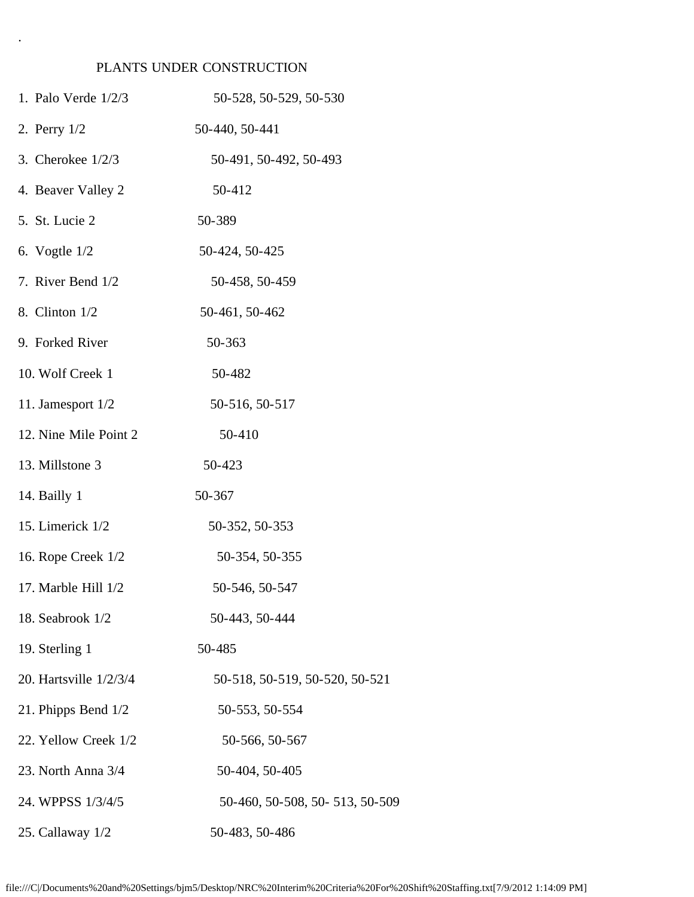# PLANTS UNDER CONSTRUCTION

.

| 1. Palo Verde 1/2/3    | 50-528, 50-529, 50-530         |
|------------------------|--------------------------------|
| 2. Perry 1/2           | 50-440, 50-441                 |
| 3. Cherokee $1/2/3$    | 50-491, 50-492, 50-493         |
| 4. Beaver Valley 2     | 50-412                         |
| 5. St. Lucie 2         | 50-389                         |
| 6. Vogtle $1/2$        | 50-424, 50-425                 |
| 7. River Bend 1/2      | 50-458, 50-459                 |
| 8. Clinton 1/2         | 50-461, 50-462                 |
| 9. Forked River        | 50-363                         |
| 10. Wolf Creek 1       | 50-482                         |
| 11. Jamesport 1/2      | 50-516, 50-517                 |
| 12. Nine Mile Point 2  | 50-410                         |
| 13. Millstone 3        | 50-423                         |
| 14. Bailly 1           | 50-367                         |
| 15. Limerick 1/2       | 50-352, 50-353                 |
| 16. Rope Creek 1/2     | 50-354, 50-355                 |
| 17. Marble Hill $1/2$  | 50-546, 50-547                 |
| 18. Seabrook 1/2       | 50-443, 50-444                 |
| 19. Sterling 1         | 50-485                         |
| 20. Hartsville 1/2/3/4 | 50-518, 50-519, 50-520, 50-521 |
| 21. Phipps Bend $1/2$  | 50-553, 50-554                 |
| 22. Yellow Creek 1/2   | 50-566, 50-567                 |
| 23. North Anna 3/4     | 50-404, 50-405                 |
| 24. WPPSS 1/3/4/5      | 50-460, 50-508, 50-513, 50-509 |
| 25. Callaway 1/2       | 50-483, 50-486                 |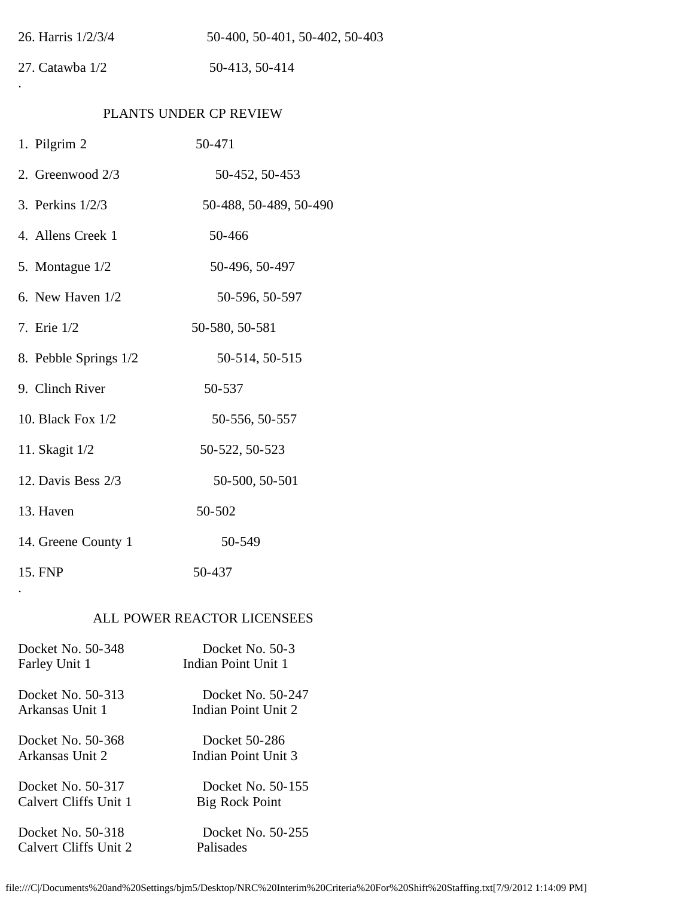| 26. Harris 1/2/3/4     | 50-400, 50-401, 50-402, 50-403 |  |  |  |  |
|------------------------|--------------------------------|--|--|--|--|
| 27. Catawba 1/2        | 50-413, 50-414                 |  |  |  |  |
|                        |                                |  |  |  |  |
| PLANTS UNDER CP REVIEW |                                |  |  |  |  |
| 1. Pilgrim 2           | 50-471                         |  |  |  |  |
| 2. Greenwood 2/3       | 50-452, 50-453                 |  |  |  |  |
| 3. Perkins 1/2/3       | 50-488, 50-489, 50-490         |  |  |  |  |
| 4. Allens Creek 1      | 50-466                         |  |  |  |  |
| 5. Montague 1/2        | 50-496, 50-497                 |  |  |  |  |
| 6. New Haven $1/2$     | 50-596, 50-597                 |  |  |  |  |
| 7. Erie 1/2            | 50-580, 50-581                 |  |  |  |  |
| 8. Pebble Springs 1/2  | 50-514, 50-515                 |  |  |  |  |
| 9. Clinch River        | 50-537                         |  |  |  |  |
| 10. Black Fox 1/2      | 50-556, 50-557                 |  |  |  |  |
| 11. Skagit 1/2         | 50-522, 50-523                 |  |  |  |  |
| 12. Davis Bess 2/3     | 50-500, 50-501                 |  |  |  |  |
| 13. Haven              | 50-502                         |  |  |  |  |
| 14. Greene County 1    | 50-549                         |  |  |  |  |
| 15. FNP                | 50-437                         |  |  |  |  |

# ALL POWER REACTOR LICENSEES

| Docket No. 50-348     | Docket No. 50-3     |
|-----------------------|---------------------|
| Farley Unit 1         | Indian Point Unit 1 |
| Docket No. 50-313     | Docket No. 50-247   |
| Arkansas Unit 1       | Indian Point Unit 2 |
| Docket No. 50-368     | Docket 50-286       |
| Arkansas Unit 2       | Indian Point Unit 3 |
| Docket No. 50-317     | Docket No. 50-155   |
| Calvert Cliffs Unit 1 | Big Rock Point      |
| Docket No. 50-318     | Docket No. 50-255   |
| Calvert Cliffs Unit 2 | Palisades           |

.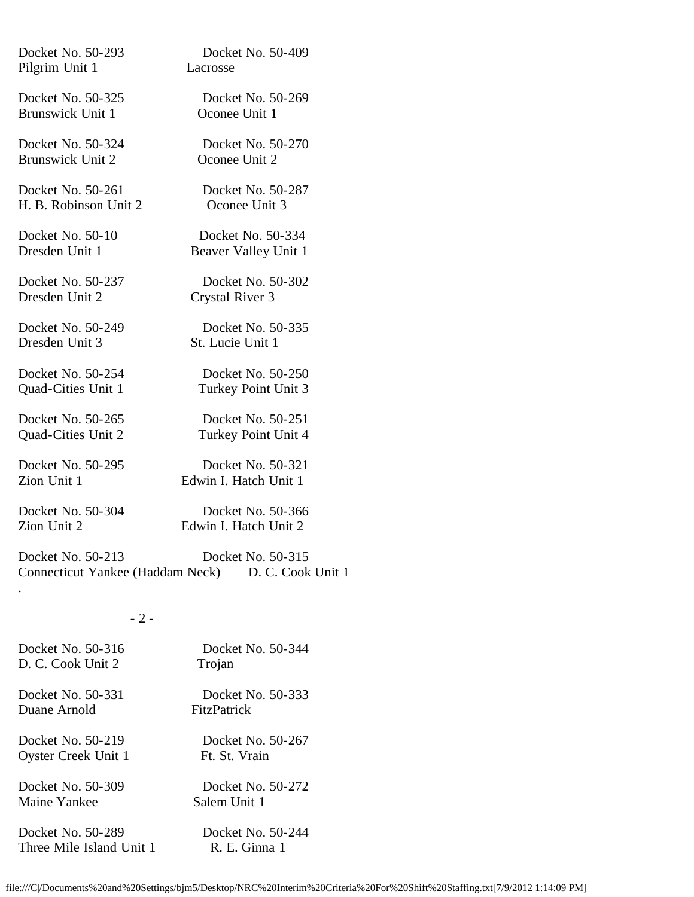| Docket No. 50-324<br><b>Brunswick Unit 2</b>                 | Docket No. 50-270<br>Oconee Unit 2         |                                                                                                                               |
|--------------------------------------------------------------|--------------------------------------------|-------------------------------------------------------------------------------------------------------------------------------|
| Docket No. 50-261<br>H. B. Robinson Unit 2                   | Docket No. 50-287<br>Oconee Unit 3         |                                                                                                                               |
| Docket No. 50-10<br>Dresden Unit 1                           | Docket No. 50-334<br>Beaver Valley Unit 1  |                                                                                                                               |
| Docket No. 50-237<br>Dresden Unit 2                          | Docket No. 50-302<br>Crystal River 3       |                                                                                                                               |
| Docket No. 50-249<br>Dresden Unit 3                          | Docket No. 50-335<br>St. Lucie Unit 1      |                                                                                                                               |
| Docket No. 50-254<br>Quad-Cities Unit 1                      | Docket No. 50-250<br>Turkey Point Unit 3   |                                                                                                                               |
| Docket No. 50-265<br>Quad-Cities Unit 2                      | Docket No. 50-251<br>Turkey Point Unit 4   |                                                                                                                               |
| Docket No. 50-295<br>Zion Unit 1                             | Docket No. 50-321<br>Edwin I. Hatch Unit 1 |                                                                                                                               |
| Docket No. 50-304<br>Zion Unit 2                             | Docket No. 50-366<br>Edwin I. Hatch Unit 2 |                                                                                                                               |
| Docket No. 50-213<br><b>Connecticut Yankee (Haddam Neck)</b> | Docket No. 50-315<br>D. C. Cook Unit 1     |                                                                                                                               |
| $-2-$                                                        |                                            |                                                                                                                               |
| Docket No. 50-316<br>D. C. Cook Unit 2                       | Docket No. 50-344<br>Trojan                |                                                                                                                               |
| Docket No. 50-331<br>Duane Arnold                            | Docket No. 50-333<br>FitzPatrick           |                                                                                                                               |
| Docket No. 50-219<br><b>Oyster Creek Unit 1</b>              | Docket No. 50-267<br>Ft. St. Vrain         |                                                                                                                               |
| Docket No. 50-309<br>Maine Yankee                            | Docket No. 50-272<br>Salem Unit 1          |                                                                                                                               |
| Docket No. 50-289<br>Three Mile Island Unit 1                | Docket No. 50-244<br>R. E. Ginna 1         |                                                                                                                               |
|                                                              |                                            | file:///C /Documents%20and%20Settings/bjm5/Desktop/NRC%20Interim%20Criteria%20For%20Shift%20Staffing.txt[7/9/2012 1:14:09 PM] |
|                                                              |                                            |                                                                                                                               |

Docket No. 50-293 Docket No. 50-409

Docket No. 50-325 Docket No. 50-269<br>Brunswick Unit 1 Oconee Unit 1

Pilgrim Unit 1 Lacrosse

Brunswick Unit 1